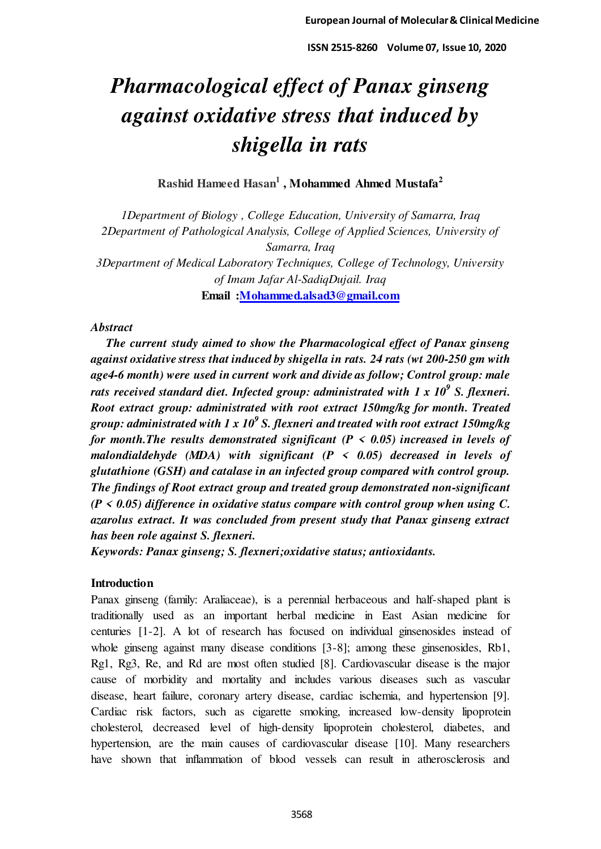# *Pharmacological effect of Panax ginseng against oxidative stress that induced by shigella in rats*

**Rashid Hameed Hasan<sup>1</sup> , Mohammed Ahmed Mustafa<sup>2</sup>**

*1Department of Biology , College Education, University of Samarra, Iraq 2Department of Pathological Analysis, College of Applied Sciences, University of Samarra, Iraq 3Department of Medical Laboratory Techniques, College of Technology, University of Imam Jafar Al-SadiqDujail. Iraq*  **Email [:Mohammed.alsad3@gmail.com](mailto:Mohammed.alsad3@gmail.com)**

# *Abstract*

 *The current study aimed to show the Pharmacological effect of Panax ginseng against oxidative stress that induced by shigella in rats. 24 rats (wt 200-250 gm with age4-6 month) were used in current work and divide as follow; Control group: male rats received standard diet. Infected group: administrated with 1 x 10<sup>9</sup> S. flexneri. Root extract group: administrated with root extract 150mg/kg for month. Treated*  group: administrated with 1 x 10<sup>9</sup> S. flexneri and treated with root extract 150mg/kg *for month.The results demonstrated significant (P < 0.05) increased in levels of malondialdehyde (MDA) with significant (P < 0.05) decreased in levels of glutathione (GSH) and catalase in an infected group compared with control group. The findings of Root extract group and treated group demonstrated non-significant (P < 0.05) difference in oxidative status compare with control group when using C. azarolus extract. It was concluded from present study that Panax ginseng extract has been role against S. flexneri.* 

*Keywords: Panax ginseng; S. flexneri;oxidative status; antioxidants.* 

# **Introduction**

Panax ginseng (family: Araliaceae), is a perennial herbaceous and half-shaped plant is traditionally used as an important herbal medicine in East Asian medicine for centuries [1-2]. A lot of research has focused on individual ginsenosides instead of whole ginseng against many disease conditions [3-8]; among these ginsenosides, Rb1, Rg1, Rg3, Re, and Rd are most often studied [8]. Cardiovascular disease is the major cause of morbidity and mortality and includes various diseases such as vascular disease, heart failure, coronary artery disease, cardiac ischemia, and hypertension [9]. Cardiac risk factors, such as cigarette smoking, increased low-density lipoprotein cholesterol, decreased level of high-density lipoprotein cholesterol, diabetes, and hypertension, are the main causes of cardiovascular disease [10]. Many researchers have shown that inflammation of blood vessels can result in atherosclerosis and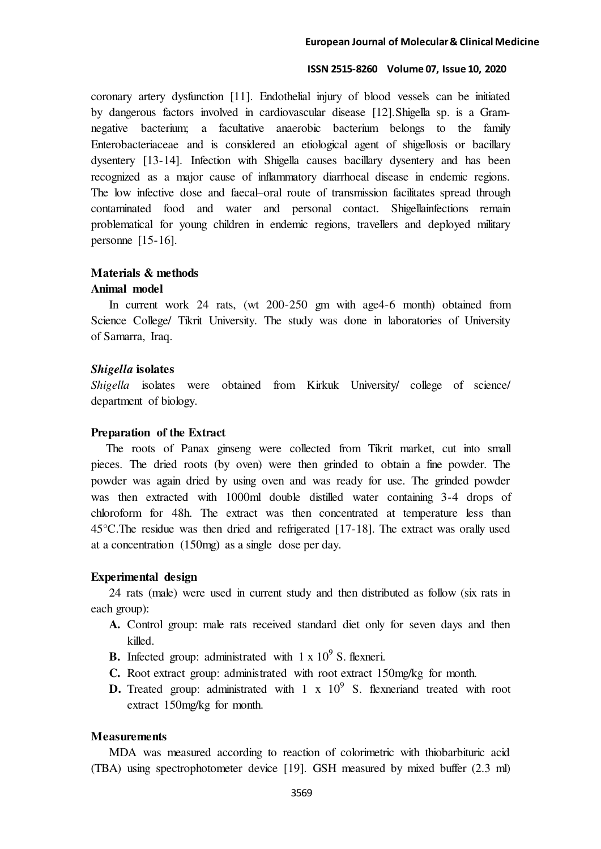coronary artery dysfunction [11]. Endothelial injury of blood vessels can be initiated by dangerous factors involved in cardiovascular disease [12].Shigella sp. is a Gramnegative bacterium; a facultative anaerobic bacterium belongs to the family Enterobacteriaceae and is considered an etiological agent of shigellosis or bacillary dysentery [13-14]. Infection with Shigella causes bacillary dysentery and has been recognized as a major cause of inflammatory diarrhoeal disease in endemic regions. The low infective dose and faecal–oral route of transmission facilitates spread through contaminated food and water and personal contact. Shigellainfections remain problematical for young children in endemic regions, travellers and deployed military personne [15-16].

# **Materials & methods Animal model**

 In current work 24 rats, (wt 200-250 gm with age4-6 month) obtained from Science College/ Tikrit University. The study was done in laboratories of University of Samarra, Iraq.

## *Shigella* **isolates**

*Shigella* isolates were obtained from Kirkuk University/ college of science/ department of biology.

#### **Preparation of the Extract**

 The roots of Panax ginseng were collected from Tikrit market, cut into small pieces. The dried roots (by oven) were then grinded to obtain a fine powder. The powder was again dried by using oven and was ready for use. The grinded powder was then extracted with 1000ml double distilled water containing 3-4 drops of chloroform for 48h. The extract was then concentrated at temperature less than 45°C.The residue was then dried and refrigerated [17-18]. The extract was orally used at a concentration (150mg) as a single dose per day.

#### **Experimental design**

 24 rats (male) were used in current study and then distributed as follow (six rats in each group):

- **A.** Control group: male rats received standard diet only for seven days and then killed.
- **B.** Infected group: administrated with  $1 \times 10^9$  S. flexneri.
- **C.** Root extract group: administrated with root extract 150mg/kg for month.
- **D.** Treated group: administrated with  $1 \times 10^9$  S. flexneriand treated with root extract 150mg/kg for month.

#### **Measurements**

 MDA was measured according to reaction of colorimetric with thiobarbituric acid (TBA) using spectrophotometer device [19]. GSH measured by mixed buffer (2.3 ml)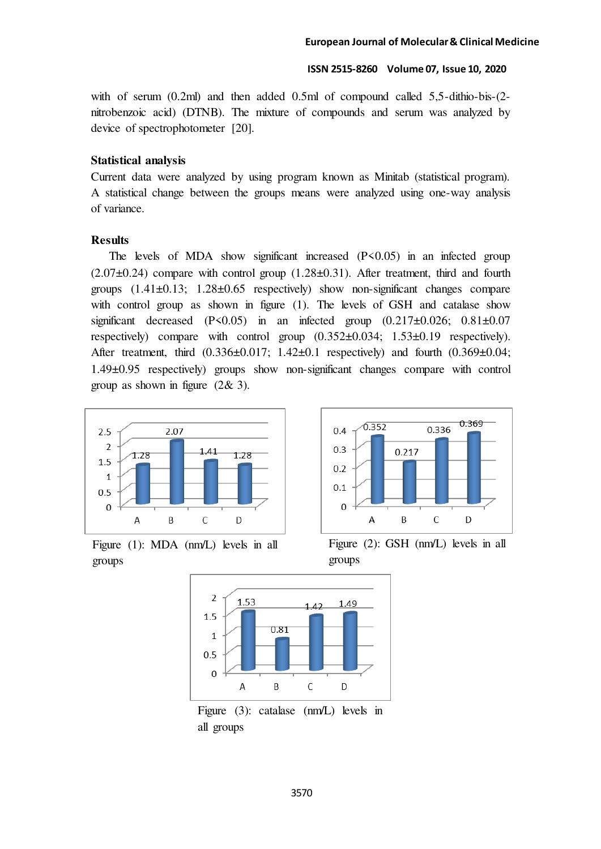with of serum (0.2ml) and then added 0.5ml of compound called 5,5-dithio-bis-(2nitrobenzoic acid) (DTNB). The mixture of compounds and serum was analyzed by device of spectrophotometer [20].

# **Statistical analysis**

Current data were analyzed by using program known as Minitab (statistical program). A statistical change between the groups means were analyzed using one-way analysis of variance.

# **Results**

The levels of MDA show significant increased (P<0.05) in an infected group  $(2.07\pm0.24)$  compare with control group  $(1.28\pm0.31)$ . After treatment, third and fourth groups (1.41±0.13; 1.28±0.65 respectively) show non-significant changes compare with control group as shown in figure (1). The levels of GSH and catalase show significant decreased  $(P<0.05)$  in an infected group  $(0.217\pm0.026; 0.81\pm0.07)$ respectively) compare with control group (0.352±0.034; 1.53±0.19 respectively). After treatment, third (0.336±0.017; 1.42±0.1 respectively) and fourth (0.369±0.04; 1.49±0.95 respectively) groups show non-significant changes compare with control group as shown in figure (2& 3).







Figure (2): GSH (nm/L) levels in all groups



Figure (3): catalase (nm/L) levels in all groups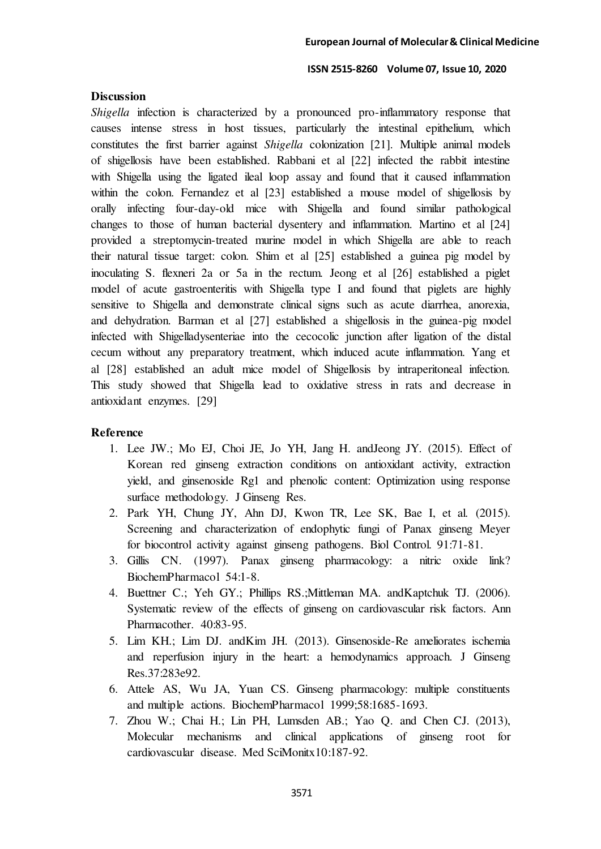## **Discussion**

*Shigella* infection is characterized by a pronounced pro-inflammatory response that causes intense stress in host tissues, particularly the intestinal epithelium, which constitutes the first barrier against *Shigella* colonization [21]. Multiple animal models of shigellosis have been established. Rabbani et al [22] infected the rabbit intestine with Shigella using the ligated ileal loop assay and found that it caused inflammation within the colon. Fernandez et al [23] established a mouse model of shigellosis by orally infecting four-day-old mice with Shigella and found similar pathological changes to those of human bacterial dysentery and inflammation. Martino et al [24] provided a streptomycin-treated murine model in which Shigella are able to reach their natural tissue target: colon. Shim et al [25] established a guinea pig model by inoculating S. flexneri 2a or 5a in the rectum. Jeong et al [26] established a piglet model of acute gastroenteritis with Shigella type I and found that piglets are highly sensitive to Shigella and demonstrate clinical signs such as acute diarrhea, anorexia, and dehydration. Barman et al [27] established a shigellosis in the guinea-pig model infected with Shigelladysenteriae into the cecocolic junction after ligation of the distal cecum without any preparatory treatment, which induced acute inflammation. Yang et al [28] established an adult mice model of Shigellosis by intraperitoneal infection. This study showed that Shigella lead to oxidative stress in rats and decrease in antioxidant enzymes. [29]

## **Reference**

- 1. Lee JW.; Mo EJ, Choi JE, Jo YH, Jang H. andJeong JY. (2015). Effect of Korean red ginseng extraction conditions on antioxidant activity, extraction yield, and ginsenoside Rg1 and phenolic content: Optimization using response surface methodology. J Ginseng Res.
- 2. Park YH, Chung JY, Ahn DJ, Kwon TR, Lee SK, Bae I, et al. (2015). Screening and characterization of endophytic fungi of Panax ginseng Meyer for biocontrol activity against ginseng pathogens. Biol Control. 91:71-81.
- 3. Gillis CN. (1997). Panax ginseng pharmacology: a nitric oxide link? BiochemPharmacol 54:1-8.
- 4. Buettner C.; Yeh GY.; Phillips RS.;Mittleman MA. andKaptchuk TJ. (2006). Systematic review of the effects of ginseng on cardiovascular risk factors. Ann Pharmacother. 40:83-95.
- 5. Lim KH.; Lim DJ. andKim JH. (2013). Ginsenoside-Re ameliorates ischemia and reperfusion injury in the heart: a hemodynamics approach. J Ginseng Res.37:283e92.
- 6. Attele AS, Wu JA, Yuan CS. Ginseng pharmacology: multiple constituents and multiple actions. BiochemPharmacol 1999;58:1685-1693.
- 7. Zhou W.; Chai H.; Lin PH, Lumsden AB.; Yao Q. and Chen CJ. (2013), Molecular mechanisms and clinical applications of ginseng root for cardiovascular disease. Med SciMonitx10:187-92.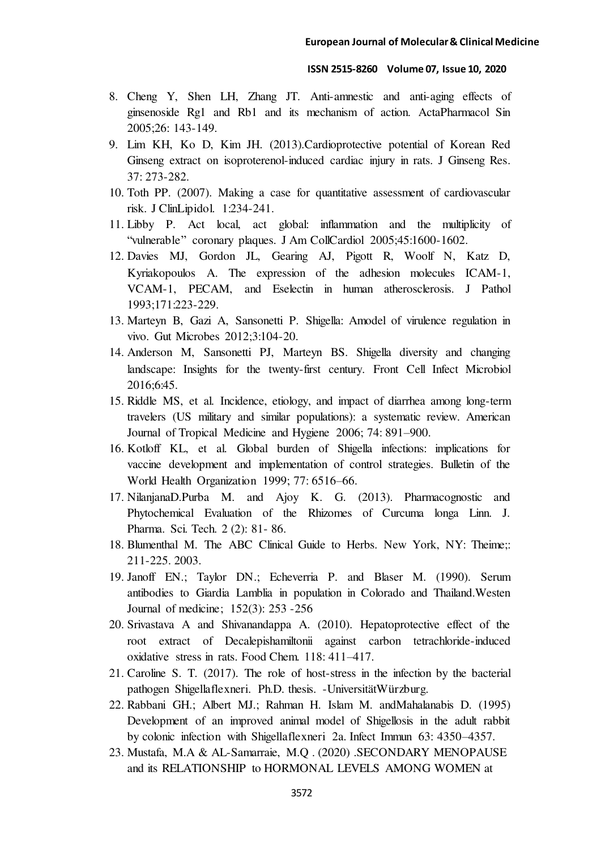- 8. Cheng Y, Shen LH, Zhang JT. Anti-amnestic and anti-aging effects of ginsenoside Rg1 and Rb1 and its mechanism of action. ActaPharmacol Sin 2005;26: 143-149.
- 9. Lim KH, Ko D, Kim JH. (2013).Cardioprotective potential of Korean Red Ginseng extract on isoproterenol-induced cardiac injury in rats. J Ginseng Res. 37: 273-282.
- 10. Toth PP. (2007). Making a case for quantitative assessment of cardiovascular risk. J ClinLipidol. 1:234-241.
- 11. Libby P. Act local, act global: inflammation and the multiplicity of "vulnerable" coronary plaques. J Am CollCardiol 2005;45:1600-1602.
- 12. Davies MJ, Gordon JL, Gearing AJ, Pigott R, Woolf N, Katz D, Kyriakopoulos A. The expression of the adhesion molecules ICAM-1, VCAM-1, PECAM, and Eselectin in human atherosclerosis. J Pathol 1993;171:223-229.
- 13. Marteyn B, Gazi A, Sansonetti P. Shigella: Amodel of virulence regulation in vivo. Gut Microbes 2012;3:104-20.
- 14. Anderson M, Sansonetti PJ, Marteyn BS. Shigella diversity and changing landscape: Insights for the twenty-first century. Front Cell Infect Microbiol 2016;6:45.
- 15. Riddle MS, et al. Incidence, etiology, and impact of diarrhea among long-term travelers (US military and similar populations): a systematic review. American Journal of Tropical Medicine and Hygiene 2006; 74: 891–900.
- 16. Kotloff KL, et al. Global burden of Shigella infections: implications for vaccine development and implementation of control strategies. Bulletin of the World Health Organization 1999; 77: 6516–66.
- 17. NilanjanaD.Purba M. and Ajoy K. G. (2013). Pharmacognostic and Phytochemical Evaluation of the Rhizomes of Curcuma longa Linn. J. Pharma. Sci. Tech. 2 (2): 81- 86.
- 18. Blumenthal M. The ABC Clinical Guide to Herbs. New York, NY: Theime;: 211-225. 2003.
- 19. Janoff EN.; Taylor DN.; Echeverria P. and Blaser M. (1990). Serum antibodies to Giardia Lamblia in population in Colorado and Thailand.Westen Journal of medicine; 152(3): 253 -256
- 20. Srivastava A and Shivanandappa A. (2010). Hepatoprotective effect of the root extract of Decalepishamiltonii against carbon tetrachloride-induced oxidative stress in rats. Food Chem. 118: 411–417.
- 21. Caroline S. T. (2017). The role of host-stress in the infection by the bacterial pathogen Shigellaflexneri. Ph.D. thesis. -UniversitätWürzburg.
- 22. Rabbani GH.; Albert MJ.; Rahman H. Islam M. andMahalanabis D. (1995) Development of an improved animal model of Shigellosis in the adult rabbit by colonic infection with Shigellaflexneri 2a. Infect Immun 63: 4350–4357.
- 23. Mustafa, M.A & AL-Samarraie, M.Q . (2020) .SECONDARY MENOPAUSE and its RELATIONSHIP to HORMONAL LEVELS AMONG WOMEN at